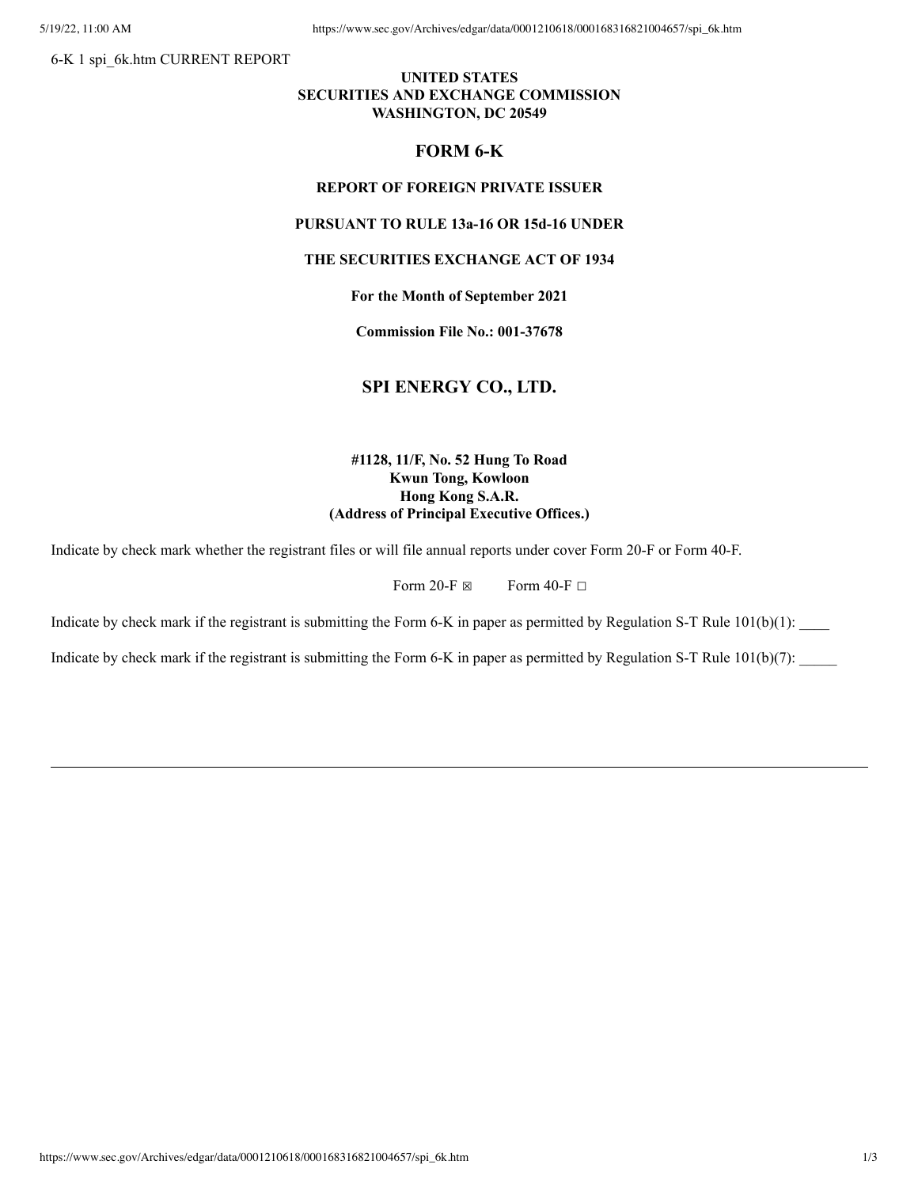6-K 1 spi\_6k.htm CURRENT REPORT

## **UNITED STATES SECURITIES AND EXCHANGE COMMISSION WASHINGTON, DC 20549**

## **FORM 6-K**

#### **REPORT OF FOREIGN PRIVATE ISSUER**

# **PURSUANT TO RULE 13a-16 OR 15d-16 UNDER**

### **THE SECURITIES EXCHANGE ACT OF 1934**

### **For the Month of September 2021**

**Commission File No.: 001-37678**

# **SPI ENERGY CO., LTD.**

# **#1128, 11/F, No. 52 Hung To Road Kwun Tong, Kowloon Hong Kong S.A.R. (Address of Principal Executive Offices.)**

Indicate by check mark whether the registrant files or will file annual reports under cover Form 20-F or Form 40-F.

Form 20-F  $\boxtimes$  Form 40-F  $\Box$ 

Indicate by check mark if the registrant is submitting the Form 6-K in paper as permitted by Regulation S-T Rule  $101(b)(1)$ :

Indicate by check mark if the registrant is submitting the Form 6-K in paper as permitted by Regulation S-T Rule  $101(b)(7)$ :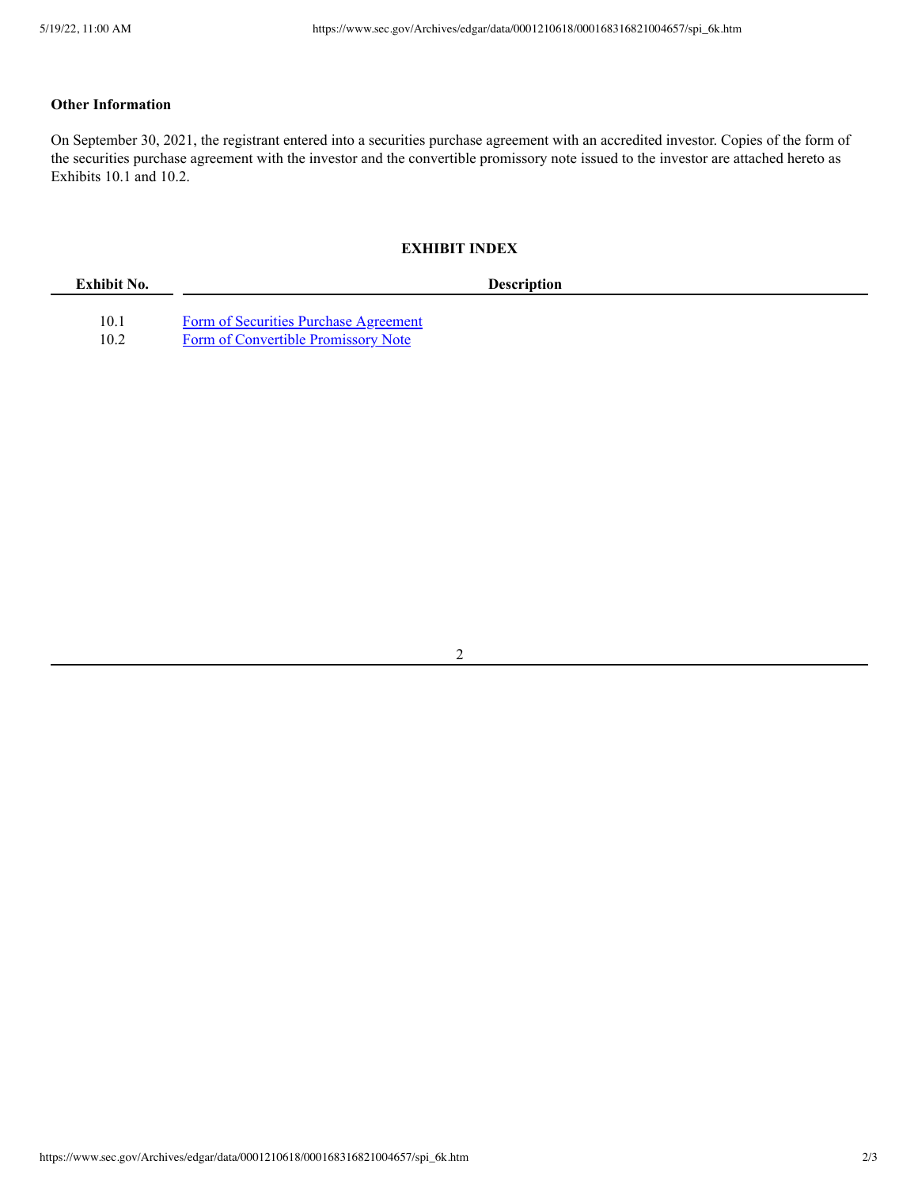# **Other Information**

On September 30, 2021, the registrant entered into a securities purchase agreement with an accredited investor. Copies of the form of the securities purchase agreement with the investor and the convertible promissory note issued to the investor are attached hereto as Exhibits 10.1 and 10.2.

# **EXHIBIT INDEX**

| Exhibit No. | <b>Description</b>                    |  |
|-------------|---------------------------------------|--|
|             |                                       |  |
| 10.1        | Form of Securities Purchase Agreement |  |
| 10.2        | Form of Convertible Promissory Note   |  |

2